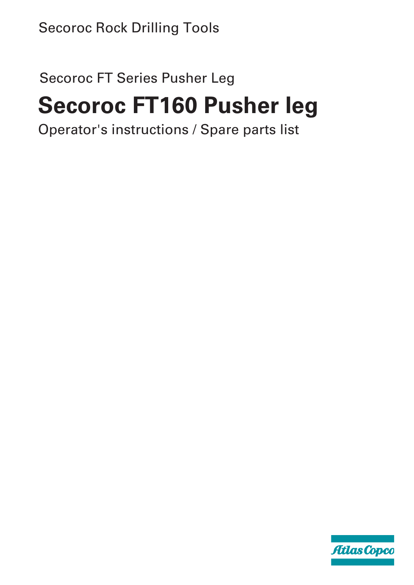# Secoroc Rock Drilling Tools

# Secoroc FT Series Pusher Leg

# **Secoroc FT160 Pusher leg**

Operator's instructions / Spare parts list

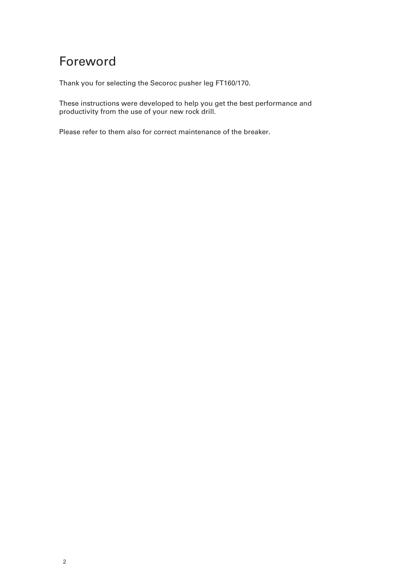## Foreword

Thank you for selecting the Secoroc pusher leg FT160/170.

These instructions were developed to help you get the best performance and productivity from the use of your new rock drill.

Please refer to them also for correct maintenance of the breaker.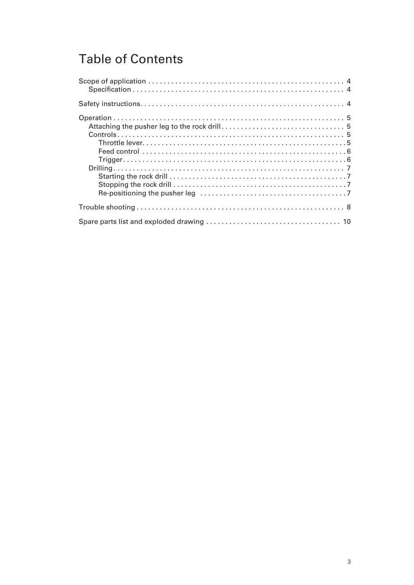## Table of Contents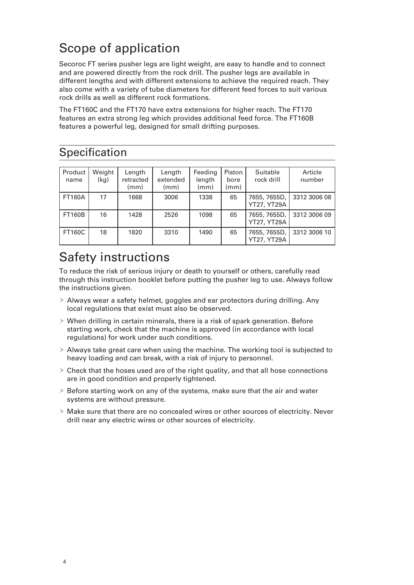## Scope of application

Secoroc FT series pusher legs are light weight, are easy to handle and to connect and are powered directly from the rock drill. The pusher legs are available in different lengths and with different extensions to achieve the required reach. They also come with a variety of tube diameters for different feed forces to suit various rock drills as well as different rock formations.

The FT160C and the FT170 have extra extensions for higher reach. The FT170 features an extra strong leg which provides additional feed force. The FT160B features a powerful leg, designed for small drifting purposes.

## Specification

| Product<br>name | Weight<br>(kg) | Length<br>retracted<br>(mm) | Length<br>extended<br>(mm) | Feeding<br>length<br>(mm) | Piston<br>bore<br>(mm) | Suitable<br>rock drill             | Article<br>number |
|-----------------|----------------|-----------------------------|----------------------------|---------------------------|------------------------|------------------------------------|-------------------|
| <b>FT160A</b>   | 17             | 1668                        | 3006                       | 1338                      | 65                     | 7655, 7655D,<br><b>YT27, YT29A</b> | 3312 3006 08      |
| <b>FT160B</b>   | 16             | 1428                        | 2526                       | 1098                      | 65                     | 7655, 7655D,<br>YT27, YT29A        | 3312 3006 09      |
| <b>FT160C</b>   | 18             | 1820                        | 3310                       | 1490                      | 65                     | 7655, 7655D,<br><b>YT27, YT29A</b> | 3312 3006 10      |

## Safety instructions

To reduce the risk of serious injury or death to yourself or others, carefully read through this instruction booklet before putting the pusher leg to use. Always follow the instructions given.

- $\triangleright$  Always wear a safety helmet, goggles and ear protectors during drilling. Any local regulations that exist must also be observed.
- $\triangleright$  When drilling in certain minerals, there is a risk of spark generation. Before starting work, check that the machine is approved (in accordance with local regulations) for work under such conditions.
- $\triangleright$  Always take great care when using the machine. The working tool is subjected to heavy loading and can break, with a risk of injury to personnel.
- $\triangleright$  Check that the hoses used are of the right quality, and that all hose connections are in good condition and properly tightened.
- $\triangleright$  Before starting work on any of the systems, make sure that the air and water systems are without pressure.
- $\triangleright$  Make sure that there are no concealed wires or other sources of electricity. Never drill near any electric wires or other sources of electricity.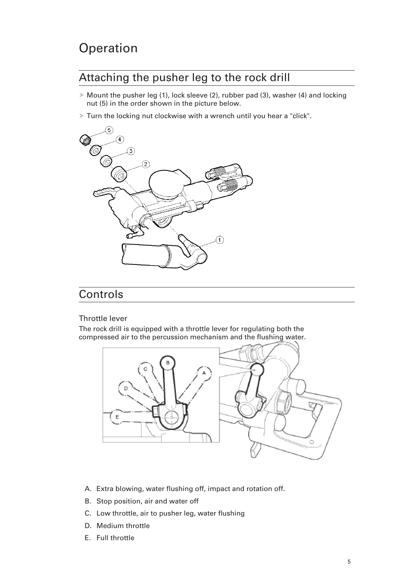## **Operation**

### Attaching the pusher leg to the rock drill

- $\triangleright$  Mount the pusher leg (1), lock sleeve (2), rubber pad (3), washer (4) and locking nut (5) in the order shown in the picture below.
- $\triangleright$  Turn the locking nut clockwise with a wrench until you hear a "click".



#### Controls

#### Throttle lever

The rock drill is equipped with a throttle lever for regulating both the compressed air to the percussion mechanism and the flushing water.



- A. Extra blowing, water flushing off, impact and rotation off.
- B. Stop position, air and water off
- C. Low throttle, air to pusher leg, water flushing
- D. Medium throttle
- E. Full throttle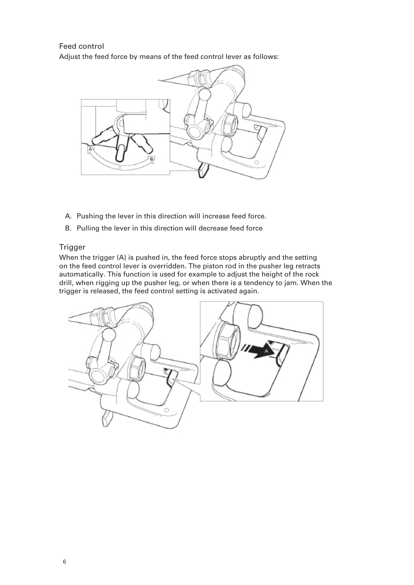Feed control Adjust the feed force by means of the feed control lever as follows:



- A. Pushing the lever in this direction will increase feed force.
- B. Pulling the lever in this direction will decrease feed force

#### **Trigger**

When the trigger (A) is pushed in, the feed force stops abruptly and the setting on the feed control lever is overridden. The piston rod in the pusher leg retracts automatically. This function is used for example to adjust the height of the rock drill, when rigging up the pusher leg, or when there is a tendency to jam. When the trigger is released, the feed control setting is activated again.

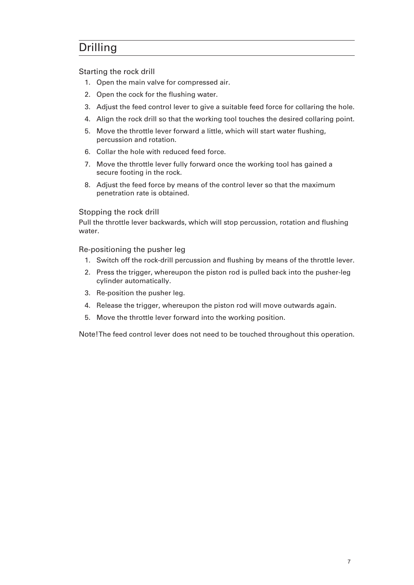## Drilling

Starting the rock drill

- 1. Open the main valve for compressed air.
- 2. Open the cock for the flushing water.
- 3. Adjust the feed control lever to give a suitable feed force for collaring the hole.
- 4. Align the rock drill so that the working tool touches the desired collaring point.
- 5. Move the throttle lever forward a little, which will start water flushing, percussion and rotation.
- 6. Collar the hole with reduced feed force.
- 7. Move the throttle lever fully forward once the working tool has gained a secure footing in the rock.
- 8. Adjust the feed force by means of the control lever so that the maximum penetration rate is obtained.

#### Stopping the rock drill

Pull the throttle lever backwards, which will stop percussion, rotation and flushing water.

Re-positioning the pusher leg

- 1. Switch off the rock-drill percussion and flushing by means of the throttle lever.
- 2. Press the trigger, whereupon the piston rod is pulled back into the pusher-leg cylinder automatically.
- 3. Re-position the pusher leg.
- 4. Release the trigger, whereupon the piston rod will move outwards again.
- 5. Move the throttle lever forward into the working position.

Note!The feed control lever does not need to be touched throughout this operation.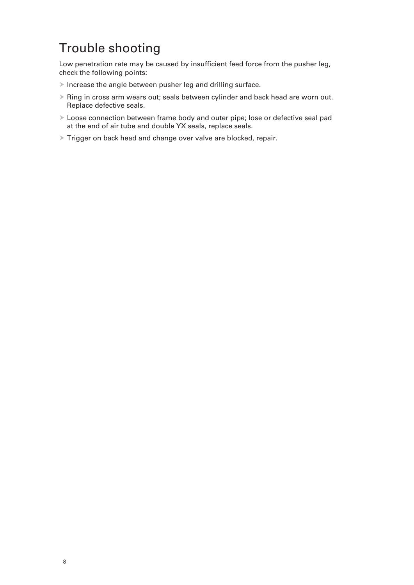## Trouble shooting

Low penetration rate may be caused by insufficient feed force from the pusher leg, check the following points:

- $\blacktriangleright$  Increase the angle between pusher leg and drilling surface.
- $\triangleright$  Ring in cross arm wears out; seals between cylinder and back head are worn out. Replace defective seals.
- $\triangleright$  Loose connection between frame body and outer pipe; lose or defective seal pad at the end of air tube and double YX seals, replace seals.
- $\triangleright$  Trigger on back head and change over valve are blocked, repair.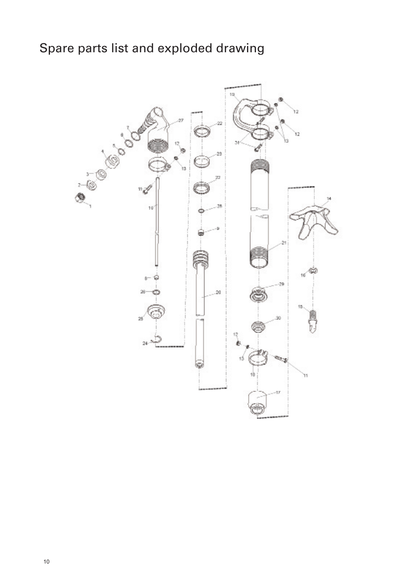# Spare parts list and exploded drawing

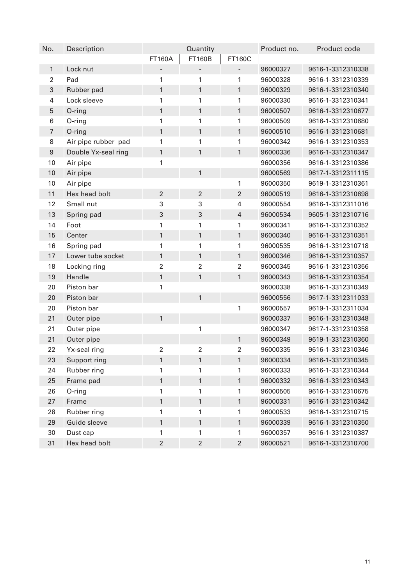| No.              | Description         | Quantity                 |                          | Product no.              | Product code |                   |
|------------------|---------------------|--------------------------|--------------------------|--------------------------|--------------|-------------------|
|                  |                     | <b>FT160A</b>            | <b>FT160B</b>            | FT160C                   |              |                   |
| $\mathbf{1}$     | Lock nut            | $\overline{\phantom{a}}$ | $\overline{\phantom{a}}$ | $\overline{\phantom{0}}$ | 96000327     | 9616-1-3312310338 |
| 2                | Pad                 | 1                        | 1                        | 1                        | 96000328     | 9616-1-3312310339 |
| 3                | Rubber pad          | 1                        | $\mathbf{1}$             | 1                        | 96000329     | 9616-1-3312310340 |
| 4                | Lock sleeve         | 1                        | 1                        | 1                        | 96000330     | 9616-1-3312310341 |
| 5                | O-ring              | 1                        | $\mathbf{1}$             | 1                        | 96000507     | 9616-1-3312310677 |
| 6                | O-ring              | 1                        | 1                        | 1                        | 96000509     | 9616-1-3312310680 |
| 7                | O-ring              | 1                        | 1                        | 1                        | 96000510     | 9616-1-3312310681 |
| 8                | Air pipe rubber pad | 1                        | 1                        | 1                        | 96000342     | 9616-1-3312310353 |
| $\boldsymbol{9}$ | Double Yx-seal ring | 1                        | 1                        | 1                        | 96000336     | 9616-1-3312310347 |
| 10               | Air pipe            | 1                        |                          |                          | 96000356     | 9616-1-3312310386 |
| 10               | Air pipe            |                          | $\mathbf{1}$             |                          | 96000569     | 9617-1-3312311115 |
| 10               | Air pipe            |                          |                          | 1                        | 96000350     | 9619-1-3312310361 |
| 11               | Hex head bolt       | $\overline{2}$           | $\overline{2}$           | $\overline{2}$           | 96000519     | 9616-1-3312310698 |
| 12               | Small nut           | 3                        | 3                        | 4                        | 96000554     | 9616-1-3312311016 |
| 13               | Spring pad          | 3                        | 3                        | $\overline{4}$           | 96000534     | 9605-1-3312310716 |
| 14               | Foot                | 1                        | 1                        | 1                        | 96000341     | 9616-1-3312310352 |
| 15               | Center              | 1                        | $\mathbf{1}$             | 1                        | 96000340     | 9616-1-3312310351 |
| 16               | Spring pad          | 1                        | 1                        | 1                        | 96000535     | 9616-1-3312310718 |
| 17               | Lower tube socket   | 1                        | $\mathbf{1}$             | 1                        | 96000346     | 9616-1-3312310357 |
| 18               | Locking ring        | $\overline{2}$           | $\overline{2}$           | $\overline{2}$           | 96000345     | 9616-1-3312310356 |
| 19               | Handle              | 1                        | $\mathbf{1}$             | 1                        | 96000343     | 9616-1-3312310354 |
| 20               | Piston bar          | 1                        |                          |                          | 96000338     | 9616-1-3312310349 |
| 20               | Piston bar          |                          | $\mathbf{1}$             |                          | 96000556     | 9617-1-3312311033 |
| 20               | Piston bar          |                          |                          | 1                        | 96000557     | 9619-1-3312311034 |
| 21               | Outer pipe          | 1                        |                          |                          | 96000337     | 9616-1-3312310348 |
| 21               | Outer pipe          |                          | 1                        |                          | 96000347     | 9617-1-3312310358 |
| 21               | Outer pipe          |                          |                          | 1                        | 96000349     | 9619-1-3312310360 |
| 22               | Yx-seal ring        | 2                        | $\overline{2}$           | 2                        | 96000335     | 9616-1-3312310346 |
| 23               | Support ring        | 1                        | 1                        | 1                        | 96000334     | 9616-1-3312310345 |
| 24               | Rubber ring         | 1                        | 1                        | 1                        | 96000333     | 9616-1-3312310344 |
| 25               | Frame pad           | 1                        | $\mathbf{1}$             | 1                        | 96000332     | 9616-1-3312310343 |
| 26               | O-ring              | 1                        | 1                        | 1                        | 96000505     | 9616-1-3312310675 |
| 27               | Frame               | 1                        | $\mathbf{1}$             | 1                        | 96000331     | 9616-1-3312310342 |
| 28               | Rubber ring         | 1                        | 1                        | 1                        | 96000533     | 9616-1-3312310715 |
| 29               | Guide sleeve        | 1                        | $\mathbf{1}$             | 1                        | 96000339     | 9616-1-3312310350 |
| 30               | Dust cap            | 1                        | 1                        | 1                        | 96000357     | 9616-1-3312310387 |
| 31               | Hex head bolt       | $\overline{\mathbf{c}}$  | $\overline{c}$           | $\overline{2}$           | 96000521     | 9616-1-3312310700 |